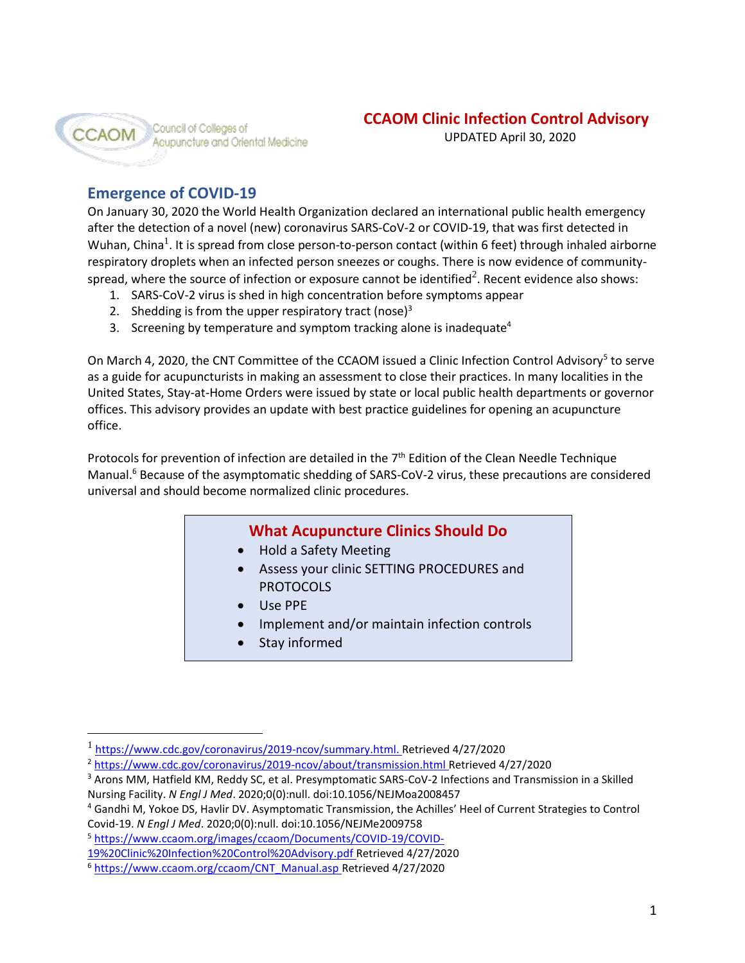

UPDATED April 30, 2020

# **Emergence of COVID-19**

On January 30, 2020 the World Health Organization declared an international public health emergency after the detection of a novel (new) coronavirus SARS-CoV-2 or COVID-19, that was first detected in Wuhan, China<sup>1</sup>. It is spread from close person-to-person contact (within 6 feet) through inhaled airborne respiratory droplets when an infected person sneezes or coughs. There is now evidence of communityspread, where the source of infection or exposure cannot be identified<sup>2</sup>. Recent evidence also shows:

- 1. SARS-CoV-2 virus is shed in high concentration before symptoms appear
- 2. Shedding is from the upper respiratory tract (nose) $3$
- 3. Screening by temperature and symptom tracking alone is inadequate<sup>4</sup>

On March 4, 2020, the CNT Committee of the CCAOM issued a Clinic Infection Control Advisory<sup>5</sup> to serve as a guide for acupuncturists in making an assessment to close their practices. In many localities in the United States, Stay-at-Home Orders were issued by state or local public health departments or governor offices. This advisory provides an update with best practice guidelines for opening an acupuncture office.

Protocols for prevention of infection are detailed in the  $7<sup>th</sup>$  Edition of the Clean Needle Technique Manual.<sup>6</sup> Because of the asymptomatic shedding of SARS-CoV-2 virus, these precautions are considered universal and should become normalized clinic procedures.

# **What Acupuncture Clinics Should Do**

- Hold a Safety Meeting
- Assess your clinic SETTING PROCEDURES and PROTOCOLS
- Use PPE
- Implement and/or maintain infection controls
- Stay informed

<sup>1</sup> [https://www.cdc.gov/coronavirus/2019-ncov/summary.html.](https://www.cdc.gov/coronavirus/2019-ncov/summary.html) Retrieved 4/27/2020

<sup>2</sup> <https://www.cdc.gov/coronavirus/2019-ncov/about/transmission.html> Retrieved 4/27/2020

<sup>3</sup> Arons MM, Hatfield KM, Reddy SC, et al. Presymptomatic SARS-CoV-2 Infections and Transmission in a Skilled Nursing Facility. *N Engl J Med*. 2020;0(0):null. doi:10.1056/NEJMoa2008457

<sup>4</sup> Gandhi M, Yokoe DS, Havlir DV. Asymptomatic Transmission, the Achilles' Heel of Current Strategies to Control Covid-19. *N Engl J Med*. 2020;0(0):null. doi:10.1056/NEJMe2009758

<sup>5</sup> [https://www.ccaom.org/images/ccaom/Documents/COVID-19/COVID-](https://www.ccaom.org/images/ccaom/Documents/COVID-19/COVID-19%20Clinic%20Infection%20Control%20Advisory.pdf)

[<sup>19%20</sup>Clinic%20Infection%20Control%20Advisory.pdf](https://www.ccaom.org/images/ccaom/Documents/COVID-19/COVID-19%20Clinic%20Infection%20Control%20Advisory.pdf) Retrieved 4/27/2020

<sup>6</sup> [https://www.ccaom.org/ccaom/CNT\\_Manual.asp](https://www.ccaom.org/ccaom/CNT_Manual.asp) Retrieved 4/27/2020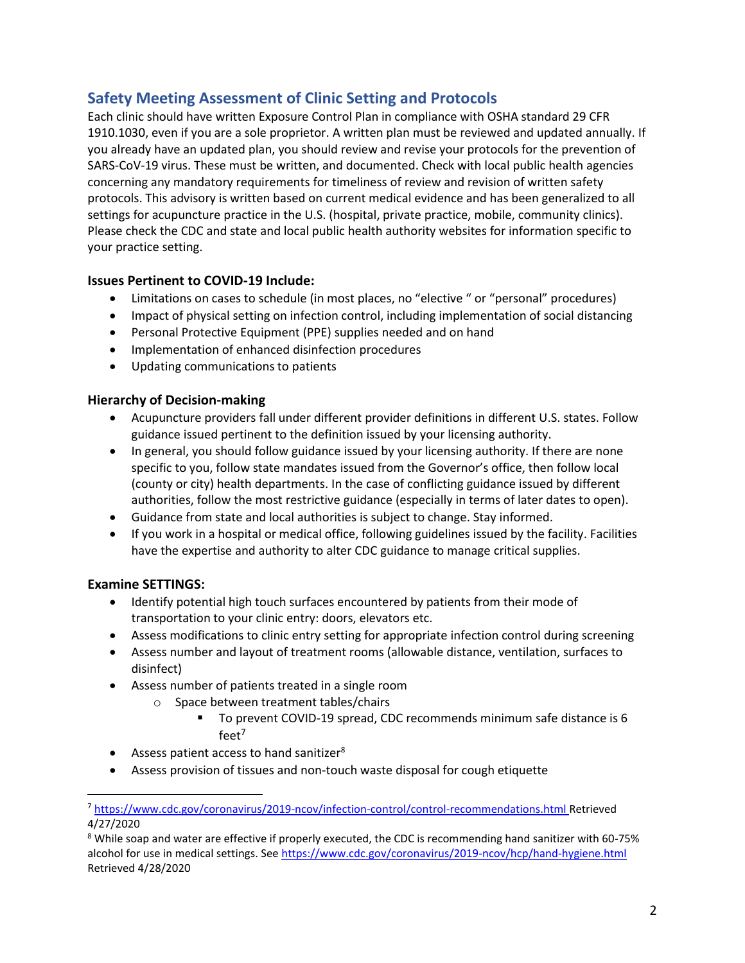# **Safety Meeting Assessment of Clinic Setting and Protocols**

Each clinic should have written Exposure Control Plan in compliance with OSHA standard 29 CFR 1910.1030, even if you are a sole proprietor. A written plan must be reviewed and updated annually. If you already have an updated plan, you should review and revise your protocols for the prevention of SARS-CoV-19 virus. These must be written, and documented. Check with local public health agencies concerning any mandatory requirements for timeliness of review and revision of written safety protocols. This advisory is written based on current medical evidence and has been generalized to all settings for acupuncture practice in the U.S. (hospital, private practice, mobile, community clinics). Please check the CDC and state and local public health authority websites for information specific to your practice setting.

## **Issues Pertinent to COVID-19 Include:**

- Limitations on cases to schedule (in most places, no "elective " or "personal" procedures)
- Impact of physical setting on infection control, including implementation of social distancing
- Personal Protective Equipment (PPE) supplies needed and on hand
- Implementation of enhanced disinfection procedures
- Updating communications to patients

#### **Hierarchy of Decision-making**

- Acupuncture providers fall under different provider definitions in different U.S. states. Follow guidance issued pertinent to the definition issued by your licensing authority.
- In general, you should follow guidance issued by your licensing authority. If there are none specific to you, follow state mandates issued from the Governor's office, then follow local (county or city) health departments. In the case of conflicting guidance issued by different authorities, follow the most restrictive guidance (especially in terms of later dates to open).
- Guidance from state and local authorities is subject to change. Stay informed.
- If you work in a hospital or medical office, following guidelines issued by the facility. Facilities have the expertise and authority to alter CDC guidance to manage critical supplies.

# **Examine SETTINGS:**

- Identify potential high touch surfaces encountered by patients from their mode of transportation to your clinic entry: doors, elevators etc.
- Assess modifications to clinic entry setting for appropriate infection control during screening
- Assess number and layout of treatment rooms (allowable distance, ventilation, surfaces to disinfect)
- Assess number of patients treated in a single room
	- o Space between treatment tables/chairs
		- To prevent COVID-19 spread, CDC recommends minimum safe distance is 6  $feet<sup>7</sup>$
- Assess patient access to hand sanitizer<sup>8</sup>
- Assess provision of tissues and non-touch waste disposal for cough etiquette

<sup>7</sup> <https://www.cdc.gov/coronavirus/2019-ncov/infection-control/control-recommendations.html> Retrieved 4/27/2020

<sup>8</sup> While soap and water are effective if properly executed, the CDC is recommending hand sanitizer with 60-75% alcohol for use in medical settings. Se[e https://www.cdc.gov/coronavirus/2019-ncov/hcp/hand-hygiene.html](https://www.cdc.gov/coronavirus/2019-ncov/hcp/hand-hygiene.html) Retrieved 4/28/2020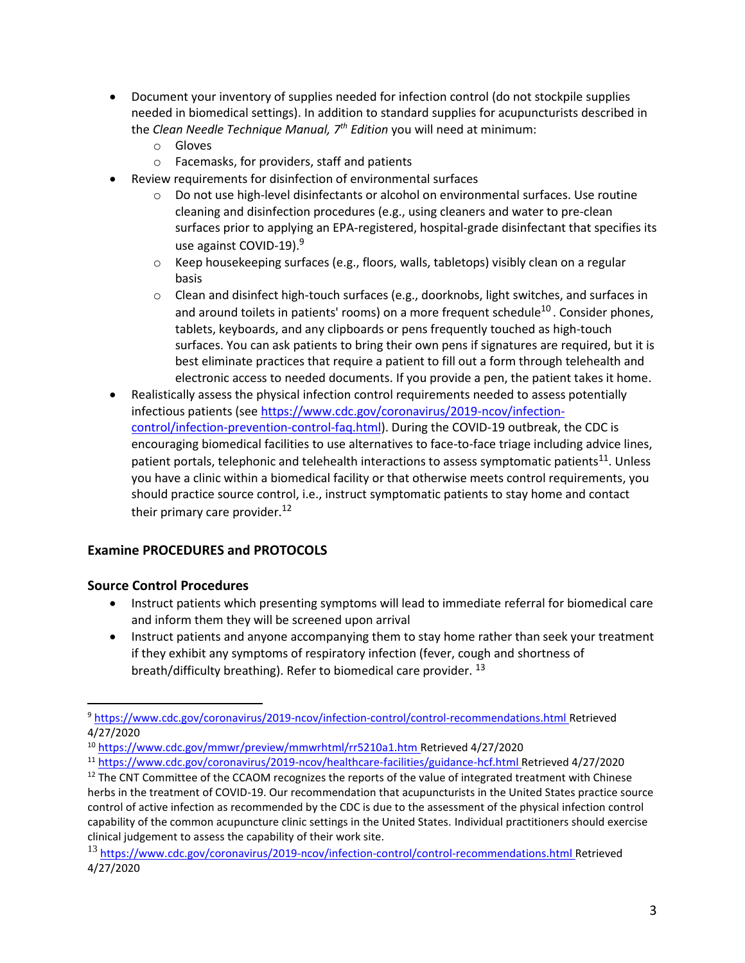- Document your inventory of supplies needed for infection control (do not stockpile supplies needed in biomedical settings). In addition to standard supplies for acupuncturists described in the *Clean Needle Technique Manual, 7th Edition* you will need at minimum:
	- o Gloves
	- o Facemasks, for providers, staff and patients
- Review requirements for disinfection of environmental surfaces
	- o Do not use high-level disinfectants or alcohol on environmental surfaces. Use routine cleaning and disinfection procedures (e.g., using cleaners and water to pre-clean surfaces prior to applying an EPA-registered, hospital-grade disinfectant that specifies its use against COVID-19).<sup>9</sup>
	- $\circ$  Keep housekeeping surfaces (e.g., floors, walls, tabletops) visibly clean on a regular basis
	- o Clean and disinfect high-touch surfaces (e.g., doorknobs, light switches, and surfaces in and around toilets in patients' rooms) on a more frequent schedule<sup>10</sup>. Consider phones, tablets, keyboards, and any clipboards or pens frequently touched as high-touch surfaces. You can ask patients to bring their own pens if signatures are required, but it is best eliminate practices that require a patient to fill out a form through telehealth and electronic access to needed documents. If you provide a pen, the patient takes it home.
- Realistically assess the physical infection control requirements needed to assess potentially infectious patients (se[e https://www.cdc.gov/coronavirus/2019-ncov/infection](https://www.cdc.gov/coronavirus/2019-ncov/infection-control/infection-prevention-control-faq.html)[control/infection-prevention-control-faq.html\)](https://www.cdc.gov/coronavirus/2019-ncov/infection-control/infection-prevention-control-faq.html). During the COVID-19 outbreak, the CDC is encouraging biomedical facilities to use alternatives to face-to-face triage including advice lines, patient portals, telephonic and telehealth interactions to assess symptomatic patients<sup>11</sup>. Unless you have a clinic within a biomedical facility or that otherwise meets control requirements, you should practice source control, i.e., instruct symptomatic patients to stay home and contact their primary care provider. $12$

# **Examine PROCEDURES and PROTOCOLS**

#### **Source Control Procedures**

- Instruct patients which presenting symptoms will lead to immediate referral for biomedical care and inform them they will be screened upon arrival
- Instruct patients and anyone accompanying them to stay home rather than seek your treatment if they exhibit any symptoms of respiratory infection (fever, cough and shortness of breath/difficulty breathing). Refer to biomedical care provider. <sup>13</sup>

<sup>9</sup> <https://www.cdc.gov/coronavirus/2019-ncov/infection-control/control-recommendations.html> Retrieved 4/27/2020

<sup>10</sup> <https://www.cdc.gov/mmwr/preview/mmwrhtml/rr5210a1.htm> Retrieved 4/27/2020

<sup>11</sup> <https://www.cdc.gov/coronavirus/2019-ncov/healthcare-facilities/guidance-hcf.html> Retrieved 4/27/2020

 $12$  The CNT Committee of the CCAOM recognizes the reports of the value of integrated treatment with Chinese herbs in the treatment of COVID-19. Our recommendation that acupuncturists in the United States practice source control of active infection as recommended by the CDC is due to the assessment of the physical infection control capability of the common acupuncture clinic settings in the United States. Individual practitioners should exercise clinical judgement to assess the capability of their work site.

<sup>13</sup> <https://www.cdc.gov/coronavirus/2019-ncov/infection-control/control-recommendations.html> Retrieved 4/27/2020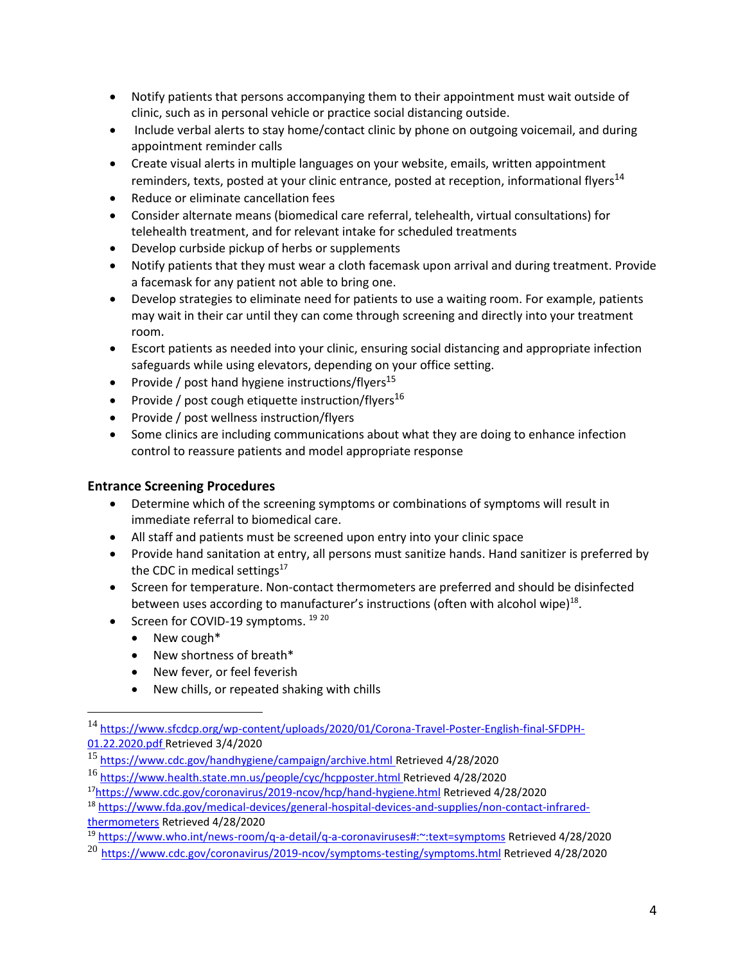- Notify patients that persons accompanying them to their appointment must wait outside of clinic, such as in personal vehicle or practice social distancing outside.
- Include verbal alerts to stay home/contact clinic by phone on outgoing voicemail, and during appointment reminder calls
- Create visual alerts in multiple languages on your website, emails, written appointment reminders, texts, posted at your clinic entrance, posted at reception, informational flyers<sup>14</sup>
- Reduce or eliminate cancellation fees
- Consider alternate means (biomedical care referral, telehealth, virtual consultations) for telehealth treatment, and for relevant intake for scheduled treatments
- Develop curbside pickup of herbs or supplements
- Notify patients that they must wear a cloth facemask upon arrival and during treatment. Provide a facemask for any patient not able to bring one.
- Develop strategies to eliminate need for patients to use a waiting room. For example, patients may wait in their car until they can come through screening and directly into your treatment room.
- Escort patients as needed into your clinic, ensuring social distancing and appropriate infection safeguards while using elevators, depending on your office setting.
- Provide / post hand hygiene instructions/flyers<sup>15</sup>
- Provide / post cough etiquette instruction/flyers<sup>16</sup>
- Provide / post wellness instruction/flyers
- Some clinics are including communications about what they are doing to enhance infection control to reassure patients and model appropriate response

#### **Entrance Screening Procedures**

- Determine which of the screening symptoms or combinations of symptoms will result in immediate referral to biomedical care.
- All staff and patients must be screened upon entry into your clinic space
- Provide hand sanitation at entry, all persons must sanitize hands. Hand sanitizer is preferred by the CDC in medical settings $17$
- Screen for temperature. Non-contact thermometers are preferred and should be disinfected between uses according to manufacturer's instructions (often with alcohol wipe) $^{18}$ .
- Screen for COVID-19 symptoms. <sup>19 20</sup>
	- New cough\*
		- New shortness of breath\*
		- New fever, or feel feverish
		- New chills, or repeated shaking with chills

<sup>14</sup> [https://www.sfcdcp.org/wp-content/uploads/2020/01/Corona-Travel-Poster-English-final-SFDPH-](https://www.sfcdcp.org/wp-content/uploads/2020/01/Corona-Travel-Poster-English-final-SFDPH-01.22.2020.pdf)[01.22.2020.pdf](https://www.sfcdcp.org/wp-content/uploads/2020/01/Corona-Travel-Poster-English-final-SFDPH-01.22.2020.pdf) Retrieved 3/4/2020

<sup>15</sup> <https://www.cdc.gov/handhygiene/campaign/archive.html> Retrieved 4/28/2020

<sup>16</sup> <https://www.health.state.mn.us/people/cyc/hcpposter.html> Retrieved 4/28/2020

<sup>17</sup><https://www.cdc.gov/coronavirus/2019-ncov/hcp/hand-hygiene.html> Retrieved 4/28/2020

<sup>18</sup> [https://www.fda.gov/medical-devices/general-hospital-devices-and-supplies/non-contact-infrared-](https://www.fda.gov/medical-devices/general-hospital-devices-and-supplies/non-contact-infrared-thermometers)

[thermometers](https://www.fda.gov/medical-devices/general-hospital-devices-and-supplies/non-contact-infrared-thermometers) Retrieved 4/28/2020

<sup>19</sup> <https://www.who.int/news-room/q-a-detail/q-a-coronaviruses#:~:text=symptoms> Retrieved 4/28/2020

 $^{20}$  <https://www.cdc.gov/coronavirus/2019-ncov/symptoms-testing/symptoms.html> Retrieved 4/28/2020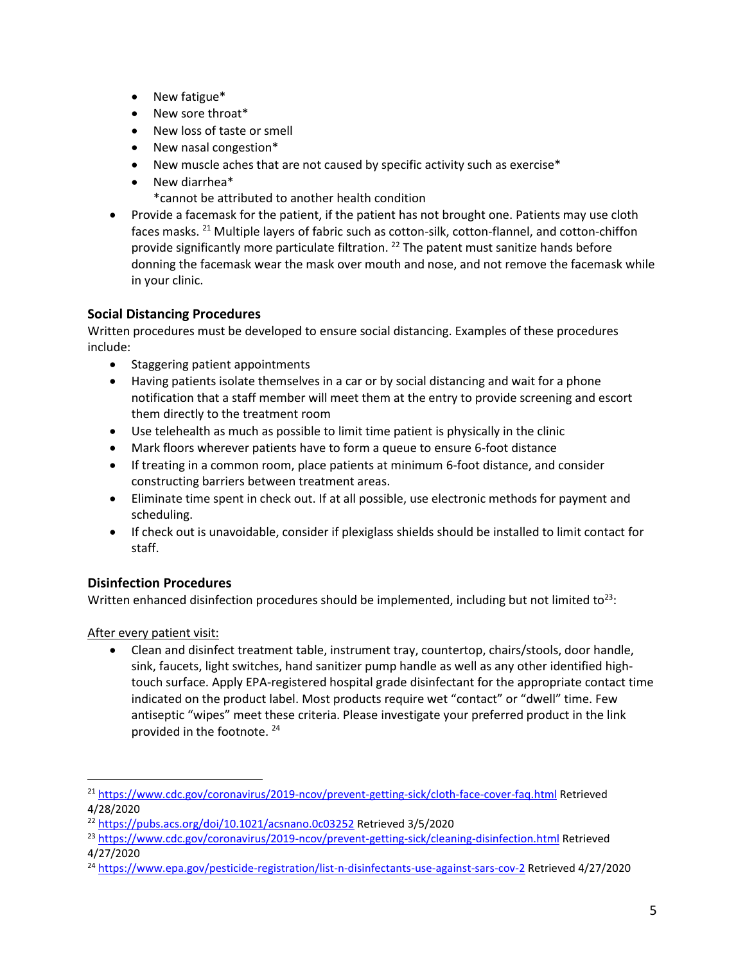- New fatigue\*
- New sore throat\*
- New loss of taste or smell
- New nasal congestion\*
- New muscle aches that are not caused by specific activity such as exercise\*
- New diarrhea\* \*cannot be attributed to another health condition
- Provide a facemask for the patient, if the patient has not brought one. Patients may use cloth faces masks. <sup>21</sup> Multiple layers of fabric such as cotton-silk, cotton-flannel, and cotton-chiffon provide significantly more particulate filtration.<sup>22</sup> The patent must sanitize hands before donning the facemask wear the mask over mouth and nose, and not remove the facemask while in your clinic.

# **Social Distancing Procedures**

Written procedures must be developed to ensure social distancing. Examples of these procedures include:

- Staggering patient appointments
- Having patients isolate themselves in a car or by social distancing and wait for a phone notification that a staff member will meet them at the entry to provide screening and escort them directly to the treatment room
- Use telehealth as much as possible to limit time patient is physically in the clinic
- Mark floors wherever patients have to form a queue to ensure 6-foot distance
- If treating in a common room, place patients at minimum 6-foot distance, and consider constructing barriers between treatment areas.
- Eliminate time spent in check out. If at all possible, use electronic methods for payment and scheduling.
- If check out is unavoidable, consider if plexiglass shields should be installed to limit contact for staff.

# **Disinfection Procedures**

Written enhanced disinfection procedures should be implemented, including but not limited to<sup>23</sup>:

After every patient visit:

• Clean and disinfect treatment table, instrument tray, countertop, chairs/stools, door handle, sink, faucets, light switches, hand sanitizer pump handle as well as any other identified hightouch surface. Apply EPA-registered hospital grade disinfectant for the appropriate contact time indicated on the product label. Most products require wet "contact" or "dwell" time. Few antiseptic "wipes" meet these criteria. Please investigate your preferred product in the link provided in the footnote.<sup>24</sup>

<sup>&</sup>lt;sup>21</sup> <https://www.cdc.gov/coronavirus/2019-ncov/prevent-getting-sick/cloth-face-cover-faq.html> Retrieved 4/28/2020

<sup>22</sup> <https://pubs.acs.org/doi/10.1021/acsnano.0c03252> Retrieved 3/5/2020

<sup>&</sup>lt;sup>23</sup> <https://www.cdc.gov/coronavirus/2019-ncov/prevent-getting-sick/cleaning-disinfection.html> Retrieved 4/27/2020

<sup>24</sup> <https://www.epa.gov/pesticide-registration/list-n-disinfectants-use-against-sars-cov-2> Retrieved 4/27/2020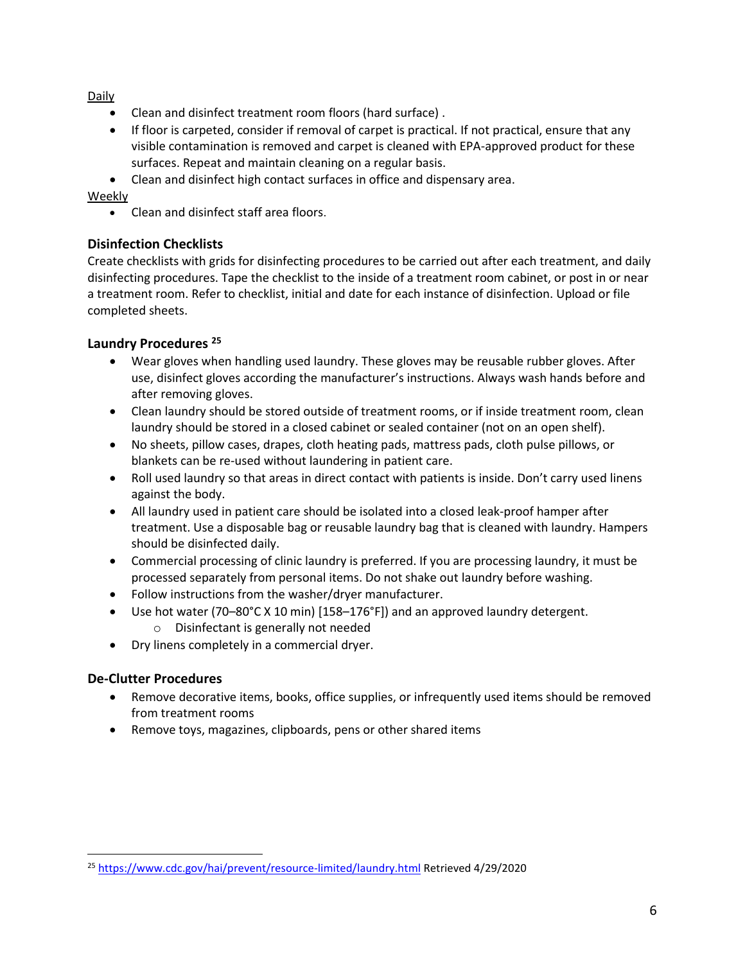Daily

- Clean and disinfect treatment room floors (hard surface) .
- If floor is carpeted, consider if removal of carpet is practical. If not practical, ensure that any visible contamination is removed and carpet is cleaned with EPA-approved product for these surfaces. Repeat and maintain cleaning on a regular basis.
- Clean and disinfect high contact surfaces in office and dispensary area.

#### Weekly

• Clean and disinfect staff area floors.

## **Disinfection Checklists**

Create checklists with grids for disinfecting procedures to be carried out after each treatment, and daily disinfecting procedures. Tape the checklist to the inside of a treatment room cabinet, or post in or near a treatment room. Refer to checklist, initial and date for each instance of disinfection. Upload or file completed sheets.

## **Laundry Procedures <sup>25</sup>**

- Wear gloves when handling used laundry. These gloves may be reusable rubber gloves. After use, disinfect gloves according the manufacturer's instructions. Always wash hands before and after removing gloves.
- Clean laundry should be stored outside of treatment rooms, or if inside treatment room, clean laundry should be stored in a closed cabinet or sealed container (not on an open shelf).
- No sheets, pillow cases, drapes, cloth heating pads, mattress pads, cloth pulse pillows, or blankets can be re-used without laundering in patient care.
- Roll used laundry so that areas in direct contact with patients is inside. Don't carry used linens against the body.
- All laundry used in patient care should be isolated into a closed leak-proof hamper after treatment. Use a disposable bag or reusable laundry bag that is cleaned with laundry. Hampers should be disinfected daily.
- Commercial processing of clinic laundry is preferred. If you are processing laundry, it must be processed separately from personal items. Do not shake out laundry before washing.
- Follow instructions from the washer/dryer manufacturer.
- Use hot water (70–80°C X 10 min) [158–176°F]) and an approved laundry detergent.
	- o Disinfectant is generally not needed
- Dry linens completely in a commercial dryer.

# **De-Clutter Procedures**

- Remove decorative items, books, office supplies, or infrequently used items should be removed from treatment rooms
- Remove toys, magazines, clipboards, pens or other shared items

<sup>25</sup> <https://www.cdc.gov/hai/prevent/resource-limited/laundry.html> Retrieved 4/29/2020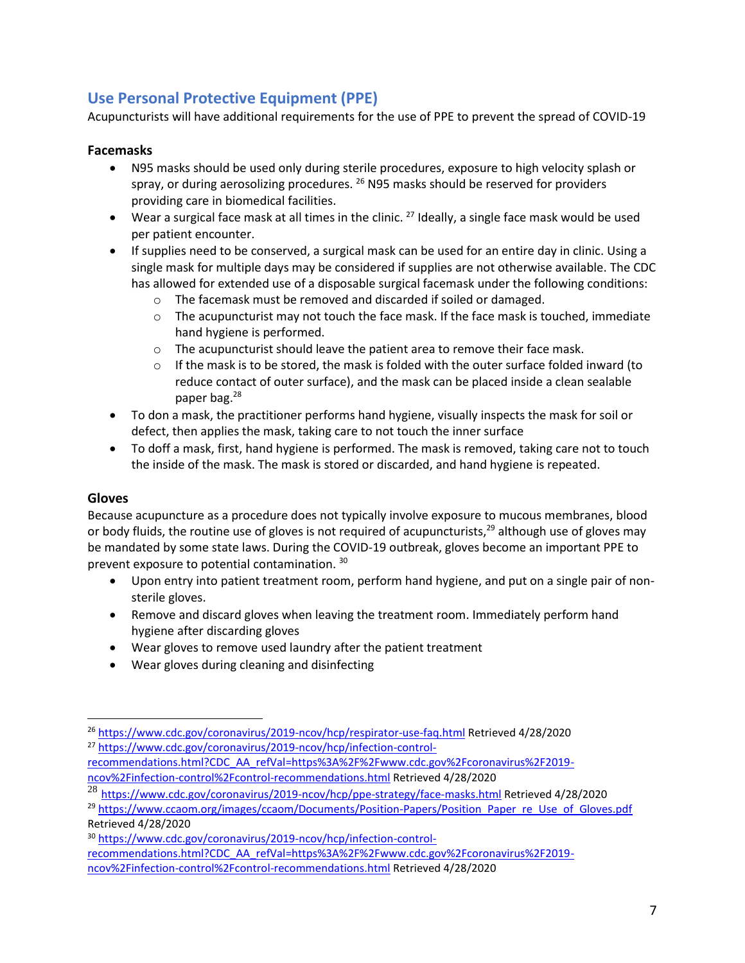# **Use Personal Protective Equipment (PPE)**

Acupuncturists will have additional requirements for the use of PPE to prevent the spread of COVID-19

## **Facemasks**

- N95 masks should be used only during sterile procedures, exposure to high velocity splash or spray, or during aerosolizing procedures. <sup>26</sup> N95 masks should be reserved for providers providing care in biomedical facilities.
- Wear a surgical face mask at all times in the clinic. <sup>27</sup> Ideally, a single face mask would be used per patient encounter.
- If supplies need to be conserved, a surgical mask can be used for an entire day in clinic. Using a single mask for multiple days may be considered if supplies are not otherwise available. The CDC has allowed for extended use of a disposable surgical facemask under the following conditions:
	- o The facemask must be removed and discarded if soiled or damaged.
	- $\circ$  The acupuncturist may not touch the face mask. If the face mask is touched, immediate hand hygiene is performed.
	- $\circ$  The acupuncturist should leave the patient area to remove their face mask.
	- $\circ$  If the mask is to be stored, the mask is folded with the outer surface folded inward (to reduce contact of outer surface), and the mask can be placed inside a clean sealable paper bag.<sup>28</sup>
- To don a mask, the practitioner performs hand hygiene, visually inspects the mask for soil or defect, then applies the mask, taking care to not touch the inner surface
- To doff a mask, first, hand hygiene is performed. The mask is removed, taking care not to touch the inside of the mask. The mask is stored or discarded, and hand hygiene is repeated.

# **Gloves**

Because acupuncture as a procedure does not typically involve exposure to mucous membranes, blood or body fluids, the routine use of gloves is not required of acupuncturists,<sup>29</sup> although use of gloves may be mandated by some state laws. During the COVID-19 outbreak, gloves become an important PPE to prevent exposure to potential contamination. 30

- Upon entry into patient treatment room, perform hand hygiene, and put on a single pair of nonsterile gloves.
- Remove and discard gloves when leaving the treatment room. Immediately perform hand hygiene after discarding gloves
- Wear gloves to remove used laundry after the patient treatment
- Wear gloves during cleaning and disinfecting

<sup>26</sup> <https://www.cdc.gov/coronavirus/2019-ncov/hcp/respirator-use-faq.html> Retrieved 4/28/2020 <sup>27</sup> [https://www.cdc.gov/coronavirus/2019-ncov/hcp/infection-control-](https://www.cdc.gov/coronavirus/2019-ncov/hcp/infection-control-recommendations.html?CDC_AA_refVal=https%3A%2F%2Fwww.cdc.gov%2Fcoronavirus%2F2019-ncov%2Finfection-control%2Fcontrol-recommendations.html)

[recommendations.html?CDC\\_AA\\_refVal=https%3A%2F%2Fwww.cdc.gov%2Fcoronavirus%2F2019](https://www.cdc.gov/coronavirus/2019-ncov/hcp/infection-control-recommendations.html?CDC_AA_refVal=https%3A%2F%2Fwww.cdc.gov%2Fcoronavirus%2F2019-ncov%2Finfection-control%2Fcontrol-recommendations.html) [ncov%2Finfection-control%2Fcontrol-recommendations.html](https://www.cdc.gov/coronavirus/2019-ncov/hcp/infection-control-recommendations.html?CDC_AA_refVal=https%3A%2F%2Fwww.cdc.gov%2Fcoronavirus%2F2019-ncov%2Finfection-control%2Fcontrol-recommendations.html) Retrieved 4/28/2020

<sup>28</sup> <https://www.cdc.gov/coronavirus/2019-ncov/hcp/ppe-strategy/face-masks.html> Retrieved 4/28/2020

<sup>&</sup>lt;sup>29</sup> [https://www.ccaom.org/images/ccaom/Documents/Position-Papers/Position\\_Paper\\_re\\_Use\\_of\\_Gloves.pdf](https://www.ccaom.org/images/ccaom/Documents/Position-Papers/Position_Paper_re_Use_of_Gloves.pdf) Retrieved 4/28/2020

<sup>30</sup> [https://www.cdc.gov/coronavirus/2019-ncov/hcp/infection-control-](https://www.cdc.gov/coronavirus/2019-ncov/hcp/infection-control-recommendations.html?CDC_AA_refVal=https%3A%2F%2Fwww.cdc.gov%2Fcoronavirus%2F2019-ncov%2Finfection-control%2Fcontrol-recommendations.html)

[recommendations.html?CDC\\_AA\\_refVal=https%3A%2F%2Fwww.cdc.gov%2Fcoronavirus%2F2019-](https://www.cdc.gov/coronavirus/2019-ncov/hcp/infection-control-recommendations.html?CDC_AA_refVal=https%3A%2F%2Fwww.cdc.gov%2Fcoronavirus%2F2019-ncov%2Finfection-control%2Fcontrol-recommendations.html)

[ncov%2Finfection-control%2Fcontrol-recommendations.html](https://www.cdc.gov/coronavirus/2019-ncov/hcp/infection-control-recommendations.html?CDC_AA_refVal=https%3A%2F%2Fwww.cdc.gov%2Fcoronavirus%2F2019-ncov%2Finfection-control%2Fcontrol-recommendations.html) Retrieved 4/28/2020